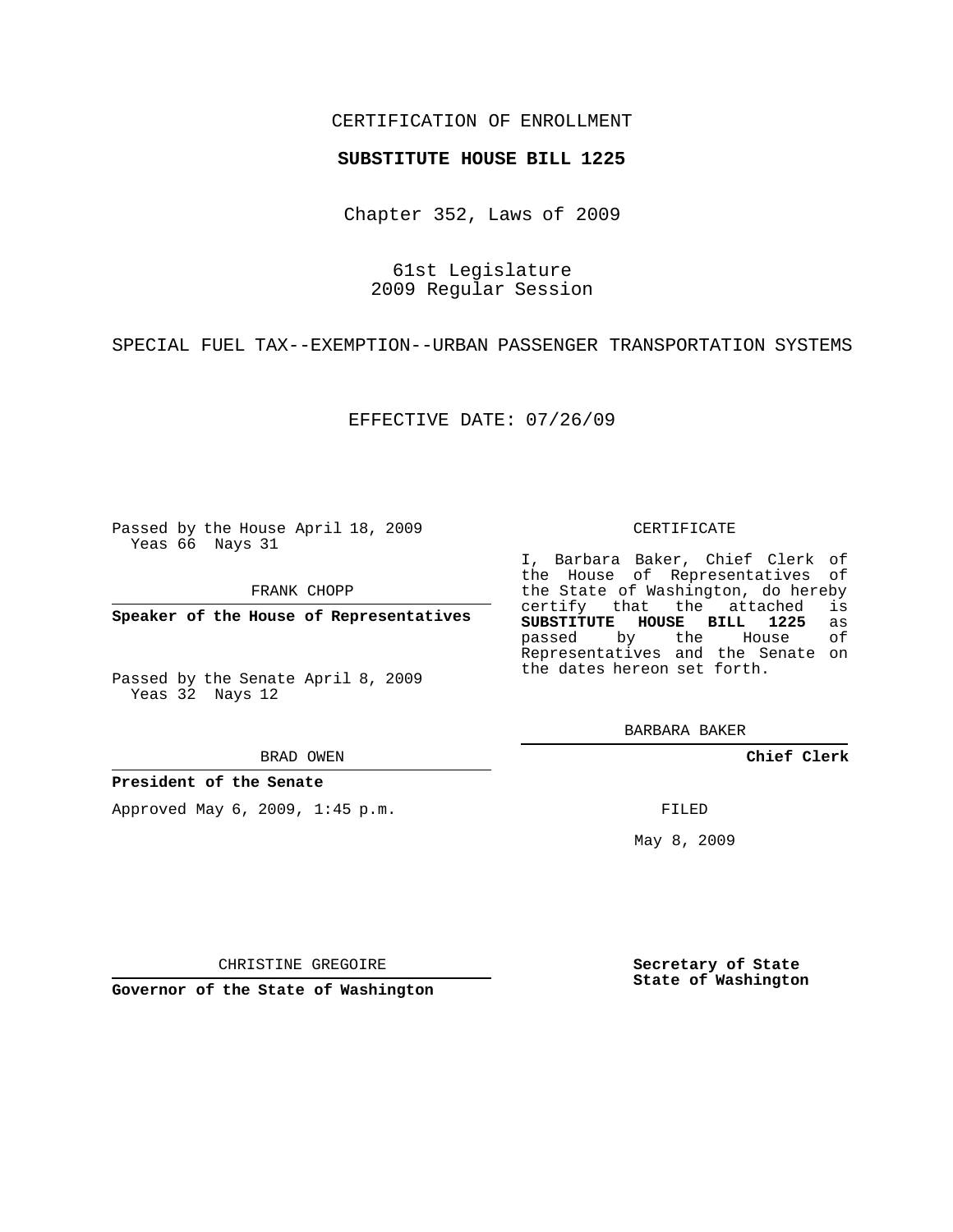## CERTIFICATION OF ENROLLMENT

## **SUBSTITUTE HOUSE BILL 1225**

Chapter 352, Laws of 2009

61st Legislature 2009 Regular Session

SPECIAL FUEL TAX--EXEMPTION--URBAN PASSENGER TRANSPORTATION SYSTEMS

EFFECTIVE DATE: 07/26/09

Passed by the House April 18, 2009 Yeas 66 Nays 31

FRANK CHOPP

**Speaker of the House of Representatives**

Passed by the Senate April 8, 2009 Yeas 32 Nays 12

BRAD OWEN

**President of the Senate**

Approved May 6, 2009, 1:45 p.m.

## CERTIFICATE

I, Barbara Baker, Chief Clerk of the House of Representatives of the State of Washington, do hereby<br>certify that the attached is certify that the attached **SUBSTITUTE HOUSE BILL 1225** as passed by the House of Representatives and the Senate on the dates hereon set forth.

BARBARA BAKER

**Chief Clerk**

FILED

May 8, 2009

**Secretary of State State of Washington**

CHRISTINE GREGOIRE

**Governor of the State of Washington**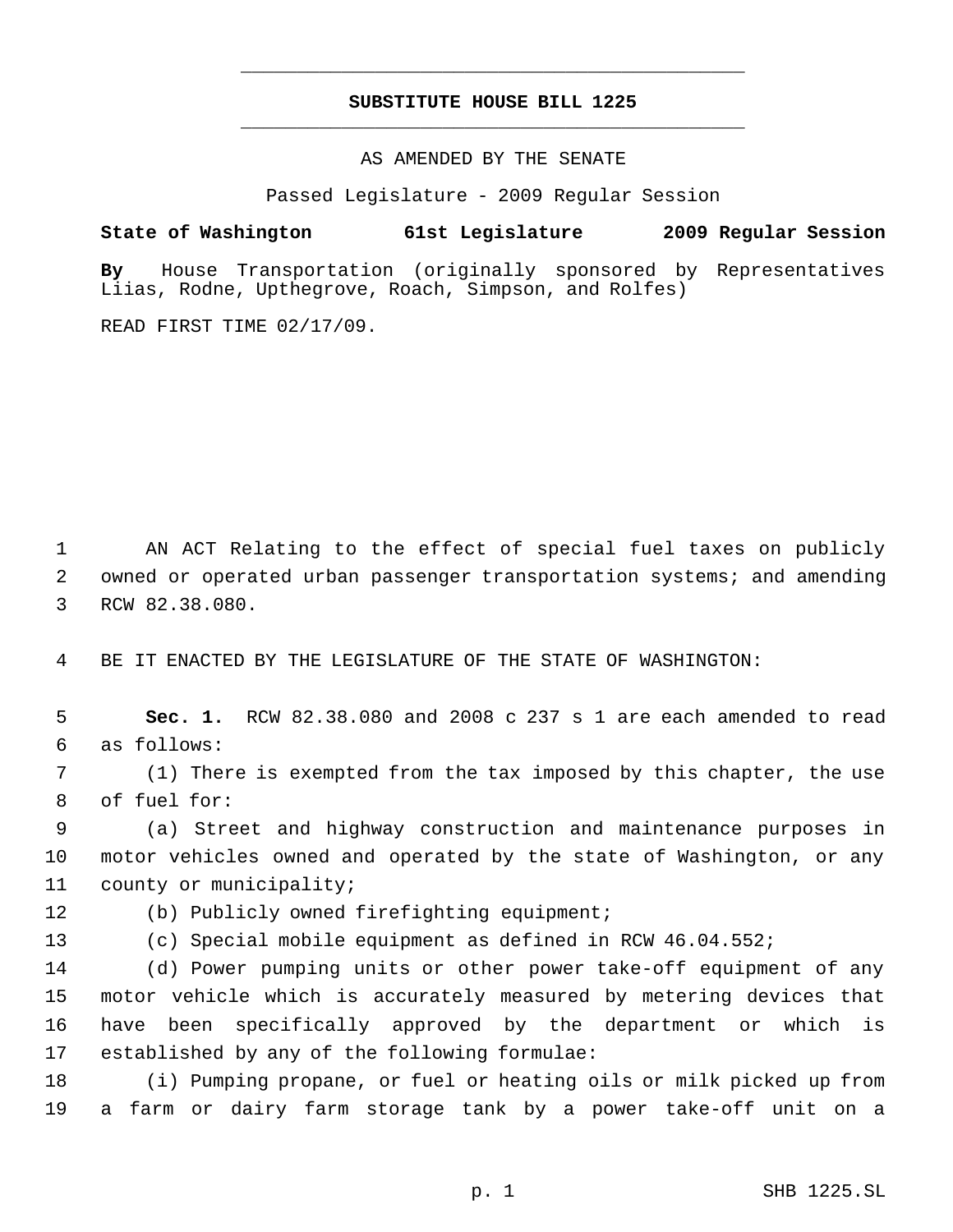## **SUBSTITUTE HOUSE BILL 1225** \_\_\_\_\_\_\_\_\_\_\_\_\_\_\_\_\_\_\_\_\_\_\_\_\_\_\_\_\_\_\_\_\_\_\_\_\_\_\_\_\_\_\_\_\_

\_\_\_\_\_\_\_\_\_\_\_\_\_\_\_\_\_\_\_\_\_\_\_\_\_\_\_\_\_\_\_\_\_\_\_\_\_\_\_\_\_\_\_\_\_

AS AMENDED BY THE SENATE

Passed Legislature - 2009 Regular Session

**State of Washington 61st Legislature 2009 Regular Session**

**By** House Transportation (originally sponsored by Representatives Liias, Rodne, Upthegrove, Roach, Simpson, and Rolfes)

READ FIRST TIME 02/17/09.

 AN ACT Relating to the effect of special fuel taxes on publicly owned or operated urban passenger transportation systems; and amending RCW 82.38.080.

BE IT ENACTED BY THE LEGISLATURE OF THE STATE OF WASHINGTON:

 **Sec. 1.** RCW 82.38.080 and 2008 c 237 s 1 are each amended to read as follows:

 (1) There is exempted from the tax imposed by this chapter, the use of fuel for:

 (a) Street and highway construction and maintenance purposes in motor vehicles owned and operated by the state of Washington, or any county or municipality;

(b) Publicly owned firefighting equipment;

(c) Special mobile equipment as defined in RCW 46.04.552;

 (d) Power pumping units or other power take-off equipment of any motor vehicle which is accurately measured by metering devices that have been specifically approved by the department or which is established by any of the following formulae:

 (i) Pumping propane, or fuel or heating oils or milk picked up from a farm or dairy farm storage tank by a power take-off unit on a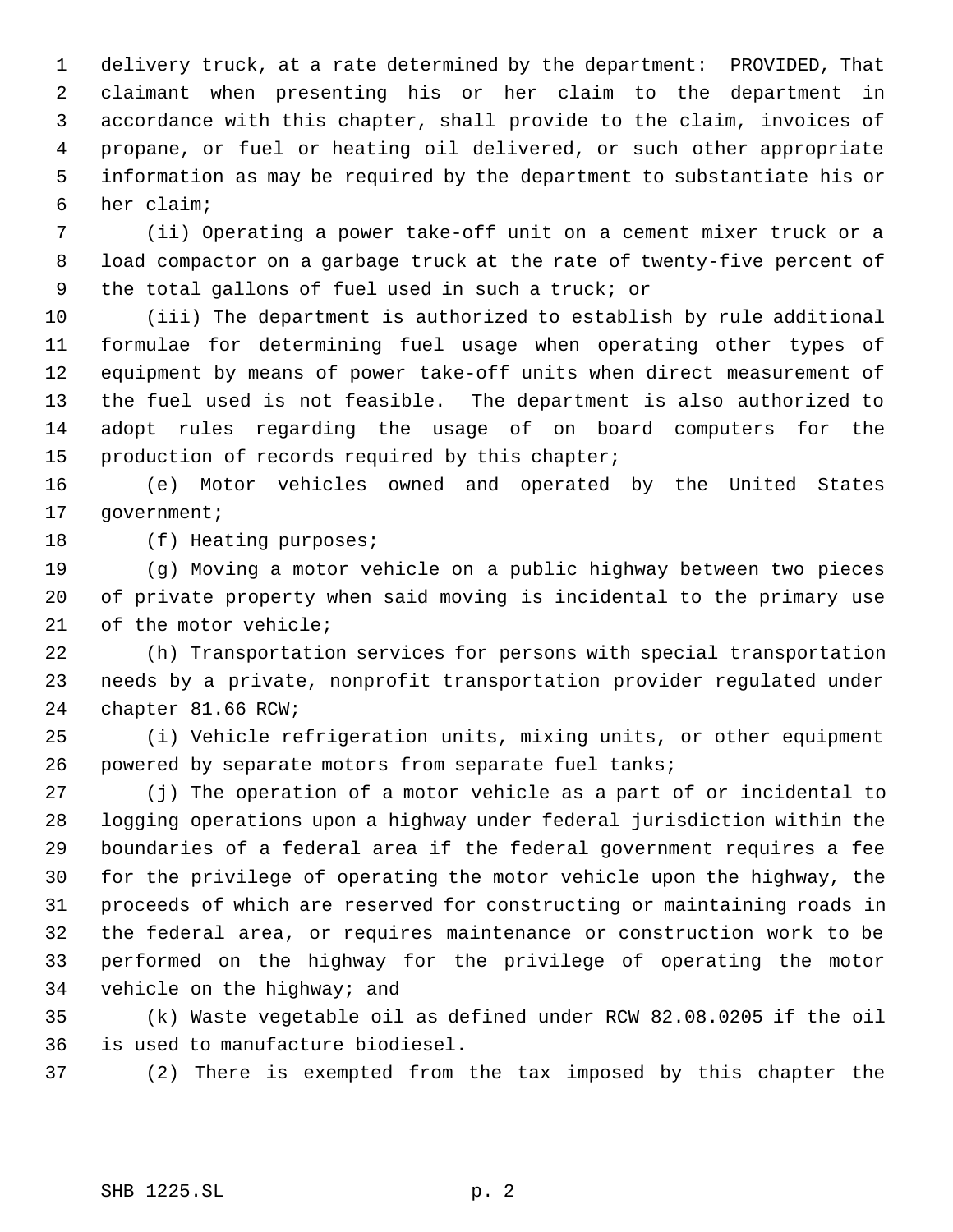delivery truck, at a rate determined by the department: PROVIDED, That claimant when presenting his or her claim to the department in accordance with this chapter, shall provide to the claim, invoices of propane, or fuel or heating oil delivered, or such other appropriate information as may be required by the department to substantiate his or her claim;

 (ii) Operating a power take-off unit on a cement mixer truck or a load compactor on a garbage truck at the rate of twenty-five percent of the total gallons of fuel used in such a truck; or

 (iii) The department is authorized to establish by rule additional formulae for determining fuel usage when operating other types of equipment by means of power take-off units when direct measurement of the fuel used is not feasible. The department is also authorized to adopt rules regarding the usage of on board computers for the production of records required by this chapter;

 (e) Motor vehicles owned and operated by the United States 17 government;

18 (f) Heating purposes;

 (g) Moving a motor vehicle on a public highway between two pieces of private property when said moving is incidental to the primary use of the motor vehicle;

 (h) Transportation services for persons with special transportation needs by a private, nonprofit transportation provider regulated under chapter 81.66 RCW;

 (i) Vehicle refrigeration units, mixing units, or other equipment powered by separate motors from separate fuel tanks;

 (j) The operation of a motor vehicle as a part of or incidental to logging operations upon a highway under federal jurisdiction within the boundaries of a federal area if the federal government requires a fee for the privilege of operating the motor vehicle upon the highway, the proceeds of which are reserved for constructing or maintaining roads in the federal area, or requires maintenance or construction work to be performed on the highway for the privilege of operating the motor vehicle on the highway; and

 (k) Waste vegetable oil as defined under RCW 82.08.0205 if the oil is used to manufacture biodiesel.

(2) There is exempted from the tax imposed by this chapter the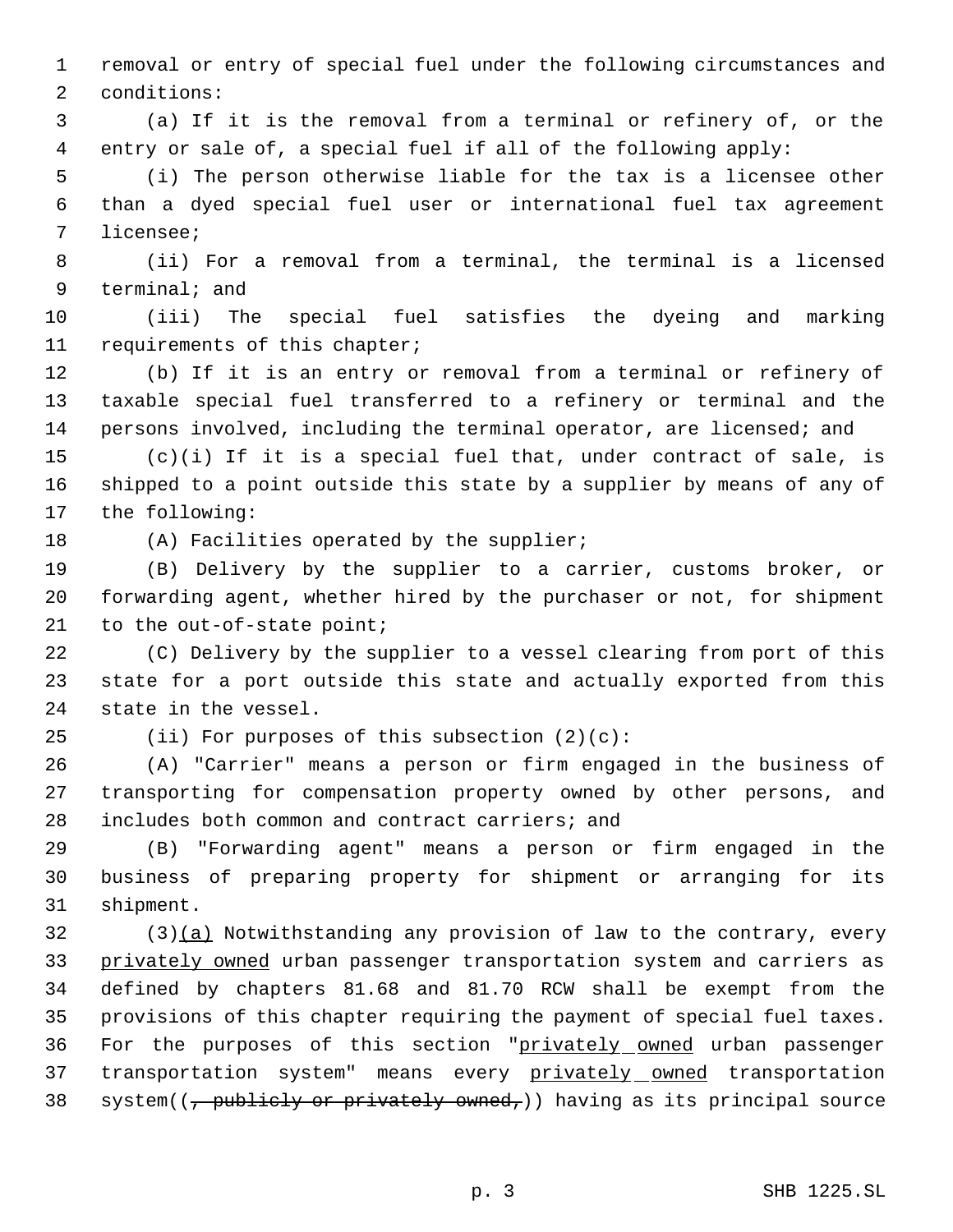removal or entry of special fuel under the following circumstances and conditions:

 (a) If it is the removal from a terminal or refinery of, or the entry or sale of, a special fuel if all of the following apply:

 (i) The person otherwise liable for the tax is a licensee other than a dyed special fuel user or international fuel tax agreement licensee;

 (ii) For a removal from a terminal, the terminal is a licensed terminal; and

 (iii) The special fuel satisfies the dyeing and marking requirements of this chapter;

 (b) If it is an entry or removal from a terminal or refinery of taxable special fuel transferred to a refinery or terminal and the persons involved, including the terminal operator, are licensed; and

 (c)(i) If it is a special fuel that, under contract of sale, is shipped to a point outside this state by a supplier by means of any of the following:

18 (A) Facilities operated by the supplier;

 (B) Delivery by the supplier to a carrier, customs broker, or forwarding agent, whether hired by the purchaser or not, for shipment 21 to the out-of-state point;

 (C) Delivery by the supplier to a vessel clearing from port of this state for a port outside this state and actually exported from this state in the vessel.

(ii) For purposes of this subsection (2)(c):

 (A) "Carrier" means a person or firm engaged in the business of transporting for compensation property owned by other persons, and includes both common and contract carriers; and

 (B) "Forwarding agent" means a person or firm engaged in the business of preparing property for shipment or arranging for its shipment.

 (3)(a) Notwithstanding any provision of law to the contrary, every 33 privately owned urban passenger transportation system and carriers as defined by chapters 81.68 and 81.70 RCW shall be exempt from the provisions of this chapter requiring the payment of special fuel taxes. 36 For the purposes of this section "privately owned urban passenger 37 transportation system" means every privately owned transportation 38 system( $\left(\frac{1}{2} + \frac{1}{2} + \frac{1}{2} + \frac{1}{2} + \frac{1}{2} + \frac{1}{2} + \frac{1}{2} + \frac{1}{2} + \frac{1}{2} + \frac{1}{2} + \frac{1}{2} + \frac{1}{2} + \frac{1}{2} + \frac{1}{2} + \frac{1}{2} + \frac{1}{2} + \frac{1}{2} + \frac{1}{2} + \frac{1}{2} + \frac{1}{2} + \frac{1}{2} + \frac{1}{2} + \frac{1}{2} + \frac{1}{2} + \frac{1}{2} + \frac{1}{2} +$